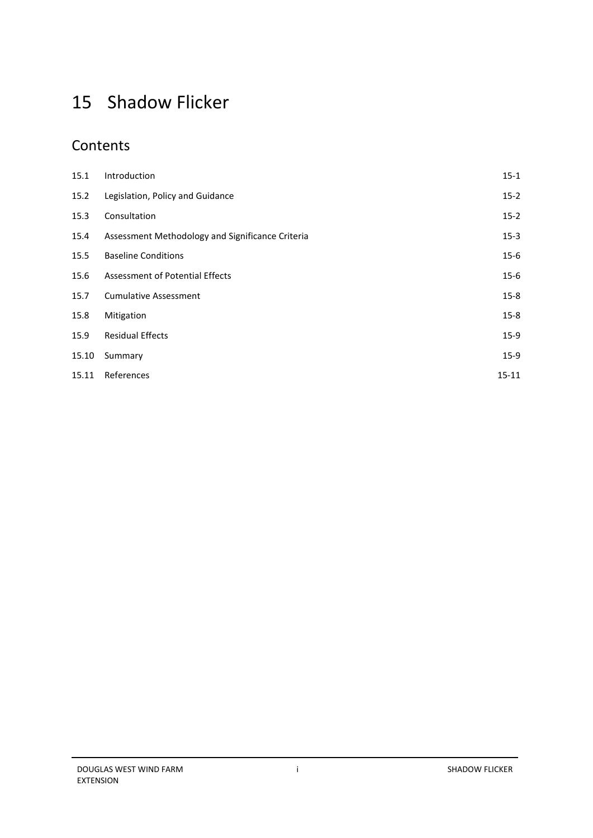# 15 Shadow Flicker

# **Contents**

| 15.1  | Introduction                                     | $15 - 1$  |
|-------|--------------------------------------------------|-----------|
| 15.2  | Legislation, Policy and Guidance                 | $15 - 2$  |
| 15.3  | Consultation                                     | $15-2$    |
| 15.4  | Assessment Methodology and Significance Criteria | $15-3$    |
| 15.5  | <b>Baseline Conditions</b>                       | $15-6$    |
| 15.6  | Assessment of Potential Effects                  | $15-6$    |
| 15.7  | <b>Cumulative Assessment</b>                     | $15 - 8$  |
| 15.8  | Mitigation                                       | $15-8$    |
| 15.9  | <b>Residual Effects</b>                          | $15-9$    |
| 15.10 | Summary                                          | $15-9$    |
| 15.11 | References                                       | $15 - 11$ |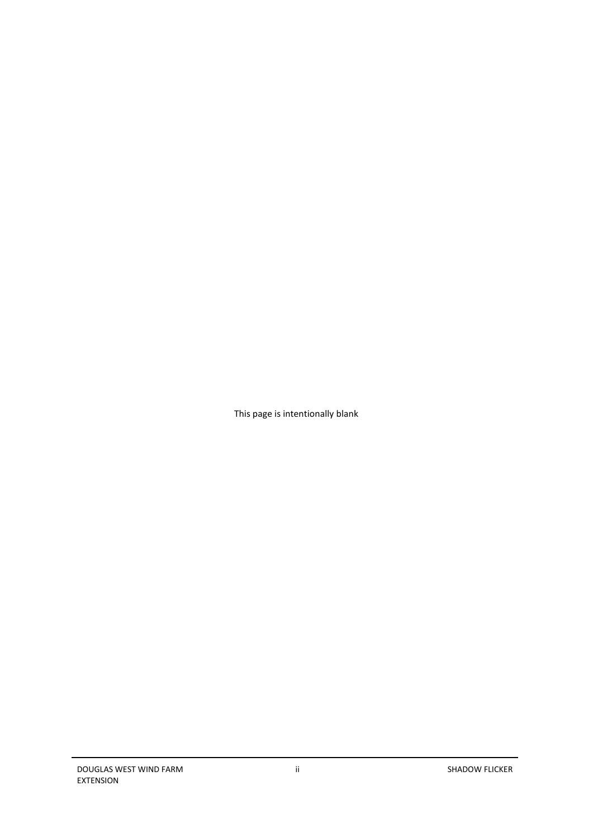This page is intentionally blank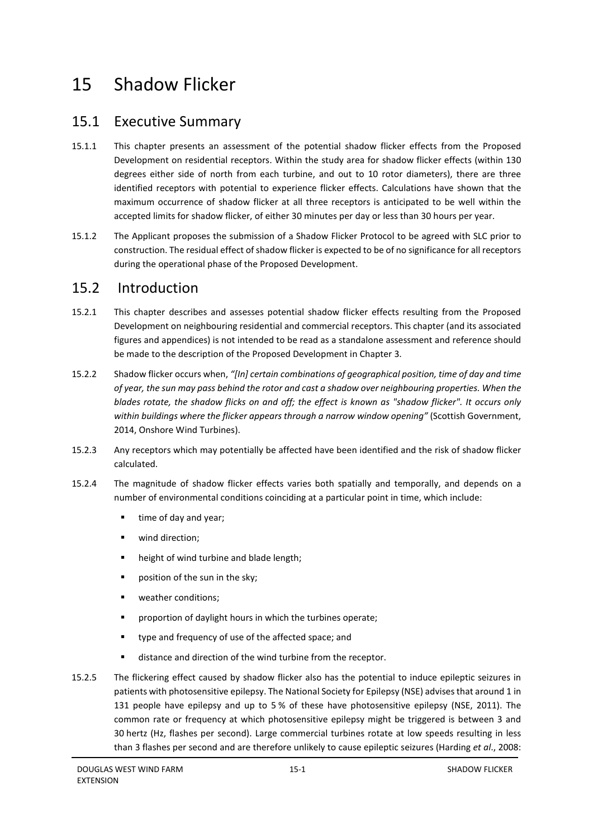# 15 Shadow Flicker

### <span id="page-2-0"></span>15.1 Executive Summary

- 15.1.1 This chapter presents an assessment of the potential shadow flicker effects from the Proposed Development on residential receptors. Within the study area for shadow flicker effects (within 130 degrees either side of north from each turbine, and out to 10 rotor diameters), there are three identified receptors with potential to experience flicker effects. Calculations have shown that the maximum occurrence of shadow flicker at all three receptors is anticipated to be well within the accepted limits for shadow flicker, of either 30 minutes per day or less than 30 hours per year.
- 15.1.2 The Applicant proposes the submission of a Shadow Flicker Protocol to be agreed with SLC prior to construction. The residual effect of shadow flicker is expected to be of no significance for all receptors during the operational phase of the Proposed Development.

### 15.2 Introduction

- 15.2.1 This chapter describes and assesses potential shadow flicker effects resulting from the Proposed Development on neighbouring residential and commercial receptors. This chapter (and its associated figures and appendices) is not intended to be read as a standalone assessment and reference should be made to the description of the Proposed Development in Chapter 3.
- 15.2.2 Shadow flicker occurs when, *"[In] certain combinations of geographical position, time of day and time of year, the sun may pass behind the rotor and cast a shadow over neighbouring properties. When the blades rotate, the shadow flicks on and off; the effect is known as "shadow flicker". It occurs only within buildings where the flicker appears through a narrow window opening"* (Scottish Government, 2014, Onshore Wind Turbines).
- 15.2.3 Any receptors which may potentially be affected have been identified and the risk of shadow flicker calculated.
- 15.2.4 The magnitude of shadow flicker effects varies both spatially and temporally, and depends on a number of environmental conditions coinciding at a particular point in time, which include:
	- time of day and year;
	- **·** wind direction;
	- **•** height of wind turbine and blade length;
	- **•** position of the sun in the sky;
	- **•** weather conditions;
	- **Phonoportion of daylight hours in which the turbines operate;**
	- type and frequency of use of the affected space; and
	- distance and direction of the wind turbine from the receptor.
- 15.2.5 The flickering effect caused by shadow flicker also has the potential to induce epileptic seizures in patients with photosensitive epilepsy. The National Society for Epilepsy (NSE) advises that around 1 in 131 people have epilepsy and up to 5 % of these have photosensitive epilepsy (NSE, 2011). The common rate or frequency at which photosensitive epilepsy might be triggered is between 3 and 30 hertz (Hz, flashes per second). Large commercial turbines rotate at low speeds resulting in less than 3 flashes per second and are therefore unlikely to cause epileptic seizures (Harding *et al*., 2008: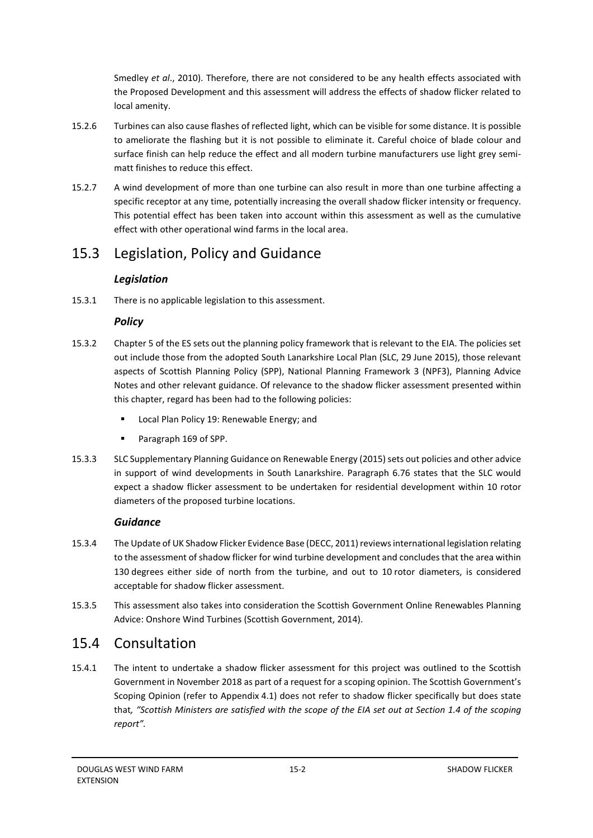Smedley *et al*., 2010). Therefore, there are not considered to be any health effects associated with the Proposed Development and this assessment will address the effects of shadow flicker related to local amenity.

- 15.2.6 Turbines can also cause flashes of reflected light, which can be visible for some distance. It is possible to ameliorate the flashing but it is not possible to eliminate it. Careful choice of blade colour and surface finish can help reduce the effect and all modern turbine manufacturers use light grey semimatt finishes to reduce this effect.
- 15.2.7 A wind development of more than one turbine can also result in more than one turbine affecting a specific receptor at any time, potentially increasing the overall shadow flicker intensity or frequency. This potential effect has been taken into account within this assessment as well as the cumulative effect with other operational wind farms in the local area.

# <span id="page-3-0"></span>15.3 Legislation, Policy and Guidance

### *Legislation*

15.3.1 There is no applicable legislation to this assessment.

### *Policy*

- 15.3.2 Chapter 5 of the ES sets out the planning policy framework that is relevant to the EIA. The policies set out include those from the adopted South Lanarkshire Local Plan (SLC, 29 June 2015), those relevant aspects of Scottish Planning Policy (SPP), National Planning Framework 3 (NPF3), Planning Advice Notes and other relevant guidance. Of relevance to the shadow flicker assessment presented within this chapter, regard has been had to the following policies:
	- **Local Plan Policy 19: Renewable Energy; and**
	- Paragraph 169 of SPP.
- 15.3.3 SLC Supplementary Planning Guidance on Renewable Energy (2015) sets out policies and other advice in support of wind developments in South Lanarkshire. Paragraph 6.76 states that the SLC would expect a shadow flicker assessment to be undertaken for residential development within 10 rotor diameters of the proposed turbine locations.

### *Guidance*

- 15.3.4 The Update of UK Shadow Flicker Evidence Base (DECC, 2011) reviews international legislation relating to the assessment of shadow flicker for wind turbine development and concludes that the area within 130 degrees either side of north from the turbine, and out to 10 rotor diameters, is considered acceptable for shadow flicker assessment.
- 15.3.5 This assessment also takes into consideration the Scottish Government Online Renewables Planning Advice: Onshore Wind Turbines (Scottish Government, 2014).

### <span id="page-3-1"></span>15.4 Consultation

15.4.1 The intent to undertake a shadow flicker assessment for this project was outlined to the Scottish Government in November 2018 as part of a request for a scoping opinion. The Scottish Government's Scoping Opinion (refer to Appendix 4.1) does not refer to shadow flicker specifically but does state that*, "Scottish Ministers are satisfied with the scope of the EIA set out at Section 1.4 of the scoping report".*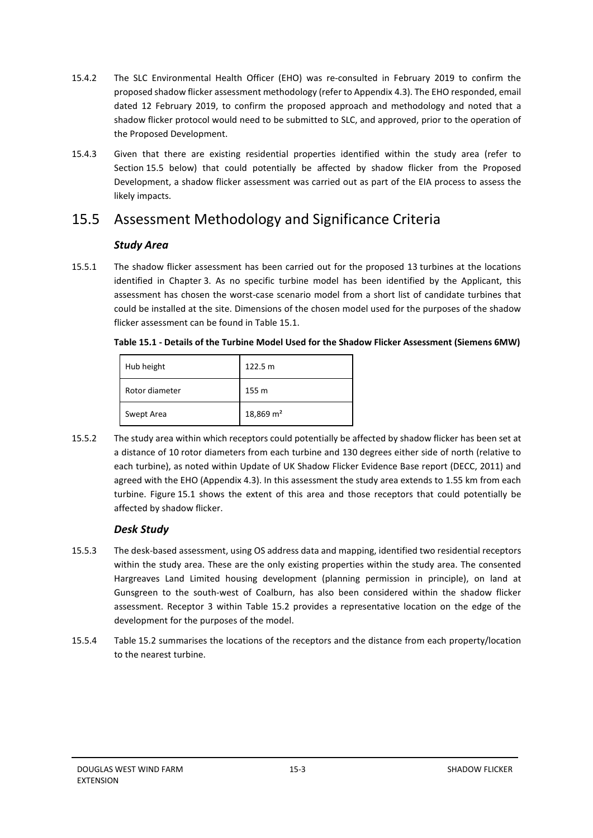- 15.4.2 The SLC Environmental Health Officer (EHO) was re-consulted in February 2019 to confirm the proposed shadow flicker assessment methodology (refer to Appendix 4.3). The EHO responded, email dated 12 February 2019, to confirm the proposed approach and methodology and noted that a shadow flicker protocol would need to be submitted to SLC, and approved, prior to the operation of the Proposed Development.
- 15.4.3 Given that there are existing residential properties identified within the study area (refer to Section 15.5 below) that could potentially be affected by shadow flicker from the Proposed Development, a shadow flicker assessment was carried out as part of the EIA process to assess the likely impacts.

# <span id="page-4-0"></span>15.5 Assessment Methodology and Significance Criteria

### *Study Area*

15.5.1 The shadow flicker assessment has been carried out for the proposed 13 turbines at the locations identified in Chapter 3. As no specific turbine model has been identified by the Applicant, this assessment has chosen the worst-case scenario model from a short list of candidate turbines that could be installed at the site. Dimensions of the chosen model used for the purposes of the shadow flicker assessment can be found in Table 15.1.

| Hub height     | 122.5 m              |
|----------------|----------------------|
| Rotor diameter | 155 <sub>m</sub>     |
| Swept Area     | $18,869 \text{ m}^2$ |

| Table 15.1 - Details of the Turbine Model Used for the Shadow Flicker Assessment (Siemens 6MW) |
|------------------------------------------------------------------------------------------------|
|------------------------------------------------------------------------------------------------|

15.5.2 The study area within which receptors could potentially be affected by shadow flicker has been set at a distance of 10 rotor diameters from each turbine and 130 degrees either side of north (relative to each turbine), as noted within Update of UK Shadow Flicker Evidence Base report (DECC, 2011) and agreed with the EHO (Appendix 4.3). In this assessment the study area extends to 1.55 km from each turbine. Figure 15.1 shows the extent of this area and those receptors that could potentially be affected by shadow flicker.

### *Desk Study*

- 15.5.3 The desk-based assessment, using OS address data and mapping, identified two residential receptors within the study area. These are the only existing properties within the study area. The consented Hargreaves Land Limited housing development (planning permission in principle), on land at Gunsgreen to the south-west of Coalburn, has also been considered within the shadow flicker assessment. Receptor 3 within Table 15.2 provides a representative location on the edge of the development for the purposes of the model.
- 15.5.4 Table 15.2 summarises the locations of the receptors and the distance from each property/location to the nearest turbine.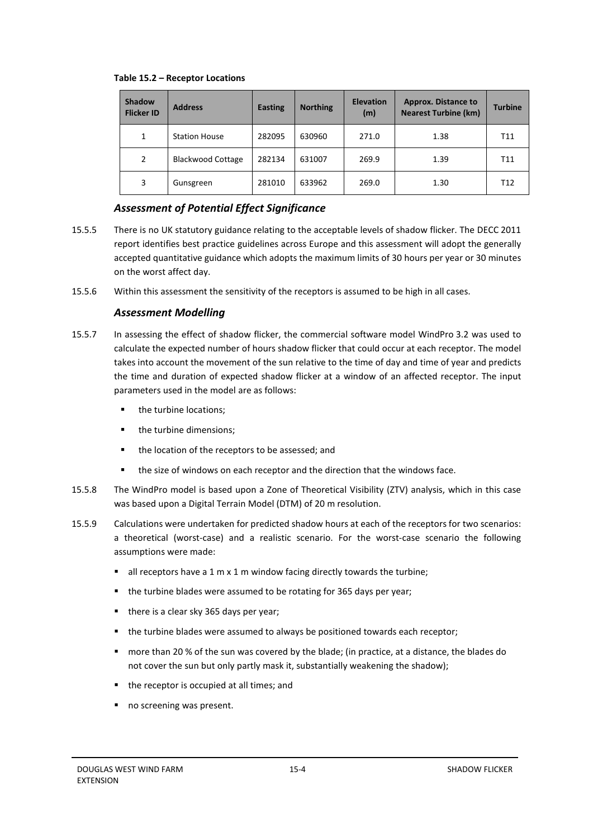#### **Table 15.2 – Receptor Locations**

| <b>Shadow</b><br><b>Flicker ID</b> | <b>Address</b>           | <b>Easting</b> | <b>Northing</b> | <b>Elevation</b><br>(m) | <b>Approx. Distance to</b><br><b>Nearest Turbine (km)</b> | <b>Turbine</b>  |
|------------------------------------|--------------------------|----------------|-----------------|-------------------------|-----------------------------------------------------------|-----------------|
| 1                                  | <b>Station House</b>     | 282095         | 630960          | 271.0                   | 1.38                                                      | T <sub>11</sub> |
| 2                                  | <b>Blackwood Cottage</b> | 282134         | 631007          | 269.9                   | 1.39                                                      | T <sub>11</sub> |
| 3                                  | Gunsgreen                | 281010         | 633962          | 269.0                   | 1.30                                                      | T <sub>12</sub> |

#### *Assessment of Potential Effect Significance*

- 15.5.5 There is no UK statutory guidance relating to the acceptable levels of shadow flicker. The DECC 2011 report identifies best practice guidelines across Europe and this assessment will adopt the generally accepted quantitative guidance which adopts the maximum limits of 30 hours per year or 30 minutes on the worst affect day.
- 15.5.6 Within this assessment the sensitivity of the receptors is assumed to be high in all cases.

#### *Assessment Modelling*

- 15.5.7 In assessing the effect of shadow flicker, the commercial software model WindPro 3.2 was used to calculate the expected number of hours shadow flicker that could occur at each receptor. The model takes into account the movement of the sun relative to the time of day and time of year and predicts the time and duration of expected shadow flicker at a window of an affected receptor. The input parameters used in the model are as follows:
	- **the turbine locations:**
	- the turbine dimensions;
	- the location of the receptors to be assessed; and
	- the size of windows on each receptor and the direction that the windows face.
- 15.5.8 The WindPro model is based upon a Zone of Theoretical Visibility (ZTV) analysis, which in this case was based upon a Digital Terrain Model (DTM) of 20 m resolution.
- 15.5.9 Calculations were undertaken for predicted shadow hours at each of the receptors for two scenarios: a theoretical (worst-case) and a realistic scenario. For the worst-case scenario the following assumptions were made:
	- all receptors have a 1 m x 1 m window facing directly towards the turbine;
	- the turbine blades were assumed to be rotating for 365 days per year;
	- there is a clear sky 365 days per year;
	- the turbine blades were assumed to always be positioned towards each receptor;
	- more than 20 % of the sun was covered by the blade; (in practice, at a distance, the blades do not cover the sun but only partly mask it, substantially weakening the shadow);
	- the receptor is occupied at all times; and
	- no screening was present.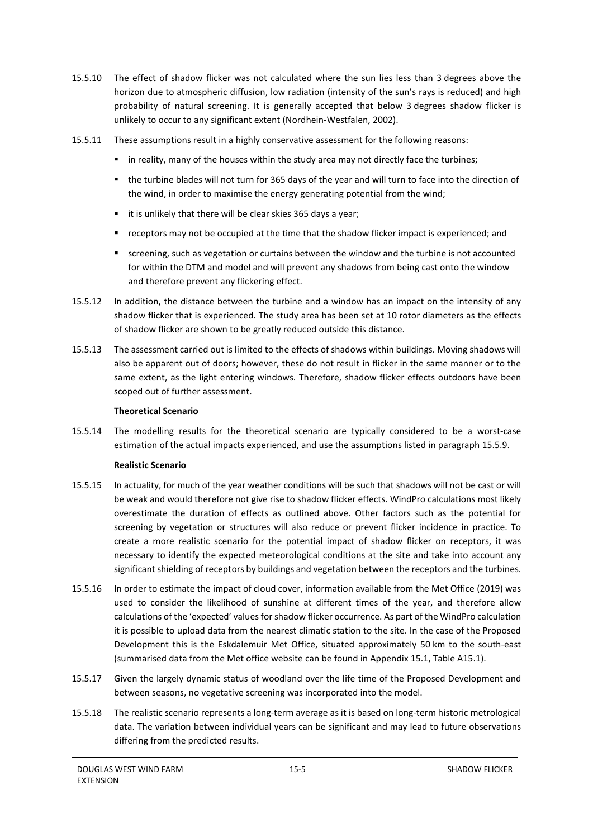- 15.5.10 The effect of shadow flicker was not calculated where the sun lies less than 3 degrees above the horizon due to atmospheric diffusion, low radiation (intensity of the sun's rays is reduced) and high probability of natural screening. It is generally accepted that below 3 degrees shadow flicker is unlikely to occur to any significant extent (Nordhein-Westfalen, 2002).
- 15.5.11 These assumptions result in a highly conservative assessment for the following reasons:
	- **E** in reality, many of the houses within the study area may not directly face the turbines;
	- the turbine blades will not turn for 365 days of the year and will turn to face into the direction of the wind, in order to maximise the energy generating potential from the wind;
	- $\blacksquare$  it is unlikely that there will be clear skies 365 days a year;
	- receptors may not be occupied at the time that the shadow flicker impact is experienced; and
	- screening, such as vegetation or curtains between the window and the turbine is not accounted for within the DTM and model and will prevent any shadows from being cast onto the window and therefore prevent any flickering effect.
- 15.5.12 In addition, the distance between the turbine and a window has an impact on the intensity of any shadow flicker that is experienced. The study area has been set at 10 rotor diameters as the effects of shadow flicker are shown to be greatly reduced outside this distance.
- 15.5.13 The assessment carried out is limited to the effects of shadows within buildings. Moving shadows will also be apparent out of doors; however, these do not result in flicker in the same manner or to the same extent, as the light entering windows. Therefore, shadow flicker effects outdoors have been scoped out of further assessment.

#### **Theoretical Scenario**

15.5.14 The modelling results for the theoretical scenario are typically considered to be a worst-case estimation of the actual impacts experienced, and use the assumptions listed in paragraph 15.5.9.

#### **Realistic Scenario**

- 15.5.15 In actuality, for much of the year weather conditions will be such that shadows will not be cast or will be weak and would therefore not give rise to shadow flicker effects. WindPro calculations most likely overestimate the duration of effects as outlined above. Other factors such as the potential for screening by vegetation or structures will also reduce or prevent flicker incidence in practice. To create a more realistic scenario for the potential impact of shadow flicker on receptors, it was necessary to identify the expected meteorological conditions at the site and take into account any significant shielding of receptors by buildings and vegetation between the receptors and the turbines.
- 15.5.16 In order to estimate the impact of cloud cover, information available from the Met Office (2019) was used to consider the likelihood of sunshine at different times of the year, and therefore allow calculations of the 'expected' values for shadow flicker occurrence. As part of the WindPro calculation it is possible to upload data from the nearest climatic station to the site. In the case of the Proposed Development this is the Eskdalemuir Met Office, situated approximately 50 km to the south-east (summarised data from the Met office website can be found in Appendix 15.1, Table A15.1).
- 15.5.17 Given the largely dynamic status of woodland over the life time of the Proposed Development and between seasons, no vegetative screening was incorporated into the model.
- 15.5.18 The realistic scenario represents a long-term average as it is based on long-term historic metrological data. The variation between individual years can be significant and may lead to future observations differing from the predicted results.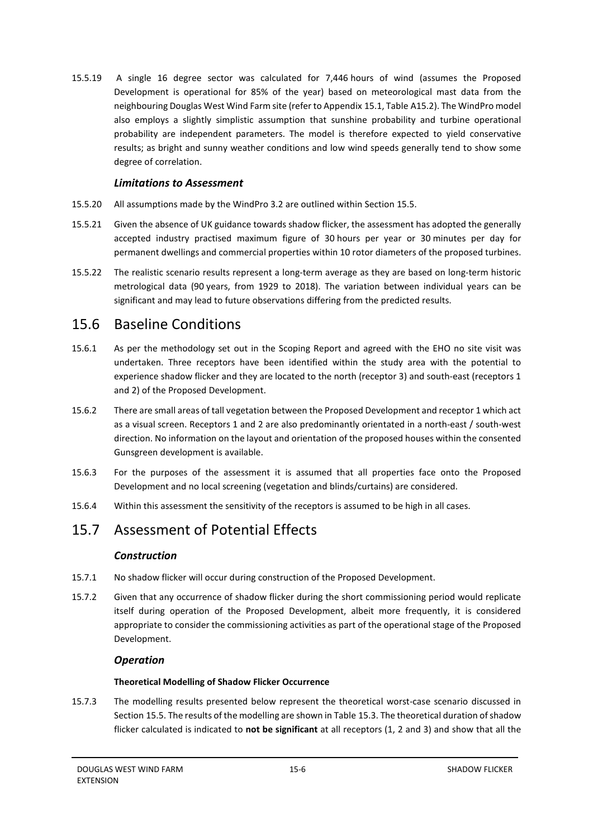15.5.19 A single 16 degree sector was calculated for 7,446 hours of wind (assumes the Proposed Development is operational for 85% of the year) based on meteorological mast data from the neighbouring Douglas West Wind Farm site (refer to Appendix 15.1, Table A15.2). The WindPro model also employs a slightly simplistic assumption that sunshine probability and turbine operational probability are independent parameters. The model is therefore expected to yield conservative results; as bright and sunny weather conditions and low wind speeds generally tend to show some degree of correlation.

### *Limitations to Assessment*

- 15.5.20 All assumptions made by the WindPro 3.2 are outlined within Section 15.5.
- 15.5.21 Given the absence of UK guidance towards shadow flicker, the assessment has adopted the generally accepted industry practised maximum figure of 30 hours per year or 30 minutes per day for permanent dwellings and commercial properties within 10 rotor diameters of the proposed turbines.
- 15.5.22 The realistic scenario results represent a long-term average as they are based on long-term historic metrological data (90 years, from 1929 to 2018). The variation between individual years can be significant and may lead to future observations differing from the predicted results.

### <span id="page-7-0"></span>15.6 Baseline Conditions

- 15.6.1 As per the methodology set out in the Scoping Report and agreed with the EHO no site visit was undertaken. Three receptors have been identified within the study area with the potential to experience shadow flicker and they are located to the north (receptor 3) and south-east (receptors 1 and 2) of the Proposed Development.
- 15.6.2 There are small areas of tall vegetation between the Proposed Development and receptor 1 which act as a visual screen. Receptors 1 and 2 are also predominantly orientated in a north-east / south-west direction. No information on the layout and orientation of the proposed houses within the consented Gunsgreen development is available.
- 15.6.3 For the purposes of the assessment it is assumed that all properties face onto the Proposed Development and no local screening (vegetation and blinds/curtains) are considered.
- 15.6.4 Within this assessment the sensitivity of the receptors is assumed to be high in all cases.

### <span id="page-7-1"></span>15.7 Assessment of Potential Effects

#### *Construction*

- 15.7.1 No shadow flicker will occur during construction of the Proposed Development.
- 15.7.2 Given that any occurrence of shadow flicker during the short commissioning period would replicate itself during operation of the Proposed Development, albeit more frequently, it is considered appropriate to consider the commissioning activities as part of the operational stage of the Proposed Development.

### *Operation*

#### **Theoretical Modelling of Shadow Flicker Occurrence**

15.7.3 The modelling results presented below represent the theoretical worst-case scenario discussed in Section 15.5. The results of the modelling are shown in Table 15.3. The theoretical duration of shadow flicker calculated is indicated to **not be significant** at all receptors (1, 2 and 3) and show that all the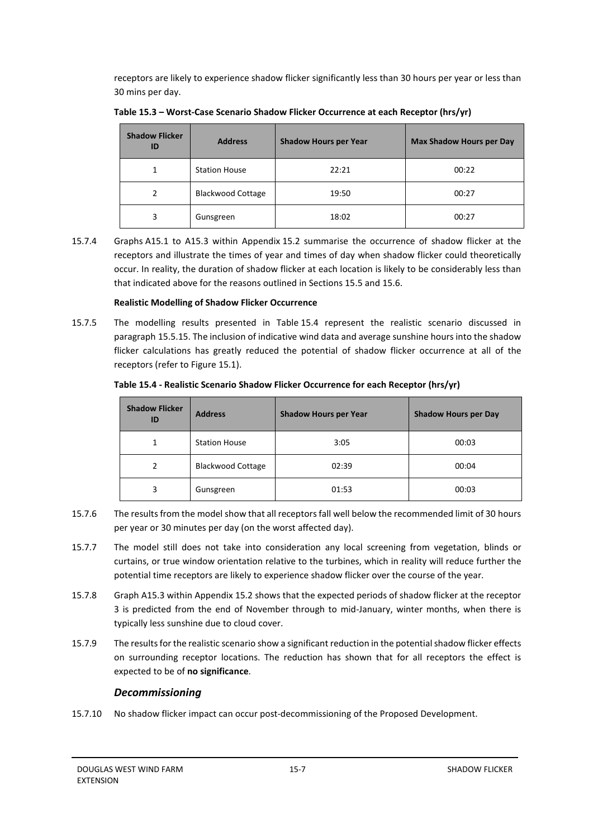receptors are likely to experience shadow flicker significantly less than 30 hours per year or less than 30 mins per day.

| <b>Shadow Flicker</b><br>ID | <b>Address</b>           | <b>Shadow Hours per Year</b> | <b>Max Shadow Hours per Day</b> |
|-----------------------------|--------------------------|------------------------------|---------------------------------|
| 1                           | <b>Station House</b>     | 22:21                        | 00:22                           |
| 2                           | <b>Blackwood Cottage</b> | 19:50                        | 00:27                           |
| 3                           | Gunsgreen                | 18:02                        | 00:27                           |

**Table 15.3 – Worst-Case Scenario Shadow Flicker Occurrence at each Receptor (hrs/yr)**

15.7.4 Graphs A15.1 to A15.3 within Appendix 15.2 summarise the occurrence of shadow flicker at the receptors and illustrate the times of year and times of day when shadow flicker could theoretically occur. In reality, the duration of shadow flicker at each location is likely to be considerably less than that indicated above for the reasons outlined in Sections 15.5 and 15.6.

#### **Realistic Modelling of Shadow Flicker Occurrence**

15.7.5 The modelling results presented in Table 15.4 represent the realistic scenario discussed in paragraph 15.5.15. The inclusion of indicative wind data and average sunshine hours into the shadow flicker calculations has greatly reduced the potential of shadow flicker occurrence at all of the receptors (refer to Figure 15.1).

| <b>Shadow Flicker</b><br>ID | <b>Address</b>           | <b>Shadow Hours per Year</b> | <b>Shadow Hours per Day</b> |
|-----------------------------|--------------------------|------------------------------|-----------------------------|
| 1                           | <b>Station House</b>     | 3:05                         | 00:03                       |
| 2                           | <b>Blackwood Cottage</b> | 02:39                        | 00:04                       |
| 3                           | Gunsgreen                | 01:53                        | 00:03                       |

**Table 15.4 - Realistic Scenario Shadow Flicker Occurrence for each Receptor (hrs/yr)**

- 15.7.6 The results from the model show that all receptors fall well below the recommended limit of 30 hours per year or 30 minutes per day (on the worst affected day).
- 15.7.7 The model still does not take into consideration any local screening from vegetation, blinds or curtains, or true window orientation relative to the turbines, which in reality will reduce further the potential time receptors are likely to experience shadow flicker over the course of the year.
- 15.7.8 Graph A15.3 within Appendix 15.2 shows that the expected periods of shadow flicker at the receptor 3 is predicted from the end of November through to mid-January, winter months, when there is typically less sunshine due to cloud cover.
- 15.7.9 The results for the realistic scenario show a significant reduction in the potential shadow flicker effects on surrounding receptor locations. The reduction has shown that for all receptors the effect is expected to be of **no significance**.

### *Decommissioning*

15.7.10 No shadow flicker impact can occur post-decommissioning of the Proposed Development.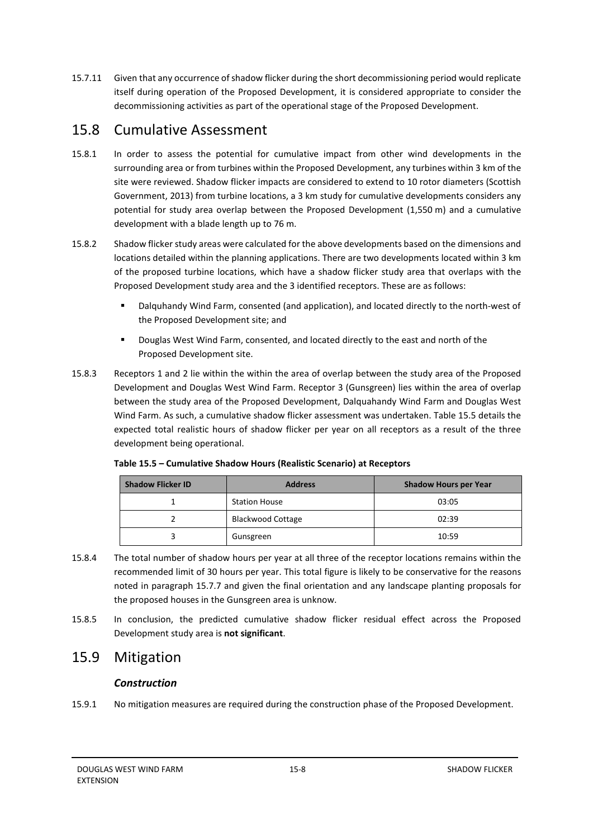15.7.11 Given that any occurrence of shadow flicker during the short decommissioning period would replicate itself during operation of the Proposed Development, it is considered appropriate to consider the decommissioning activities as part of the operational stage of the Proposed Development.

## <span id="page-9-0"></span>15.8 Cumulative Assessment

- 15.8.1 In order to assess the potential for cumulative impact from other wind developments in the surrounding area or from turbines within the Proposed Development, any turbines within 3 km of the site were reviewed. Shadow flicker impacts are considered to extend to 10 rotor diameters (Scottish Government, 2013) from turbine locations, a 3 km study for cumulative developments considers any potential for study area overlap between the Proposed Development (1,550 m) and a cumulative development with a blade length up to 76 m.
- 15.8.2 Shadow flicker study areas were calculated for the above developments based on the dimensions and locations detailed within the planning applications. There are two developments located within 3 km of the proposed turbine locations, which have a shadow flicker study area that overlaps with the Proposed Development study area and the 3 identified receptors. These are as follows:
	- Dalquhandy Wind Farm, consented (and application), and located directly to the north-west of the Proposed Development site; and
	- Douglas West Wind Farm, consented, and located directly to the east and north of the Proposed Development site.
- 15.8.3 Receptors 1 and 2 lie within the within the area of overlap between the study area of the Proposed Development and Douglas West Wind Farm. Receptor 3 (Gunsgreen) lies within the area of overlap between the study area of the Proposed Development, Dalquahandy Wind Farm and Douglas West Wind Farm. As such, a cumulative shadow flicker assessment was undertaken. Table 15.5 details the expected total realistic hours of shadow flicker per year on all receptors as a result of the three development being operational.

| <b>Shadow Flicker ID</b> | <b>Address</b>           | <b>Shadow Hours per Year</b> |
|--------------------------|--------------------------|------------------------------|
|                          | <b>Station House</b>     | 03:05                        |
|                          | <b>Blackwood Cottage</b> | 02:39                        |
|                          | Gunsgreen                | 10:59                        |

|  | Table 15.5 - Cumulative Shadow Hours (Realistic Scenario) at Receptors |  |  |  |  |
|--|------------------------------------------------------------------------|--|--|--|--|
|  |                                                                        |  |  |  |  |

- 15.8.4 The total number of shadow hours per year at all three of the receptor locations remains within the recommended limit of 30 hours per year. This total figure is likely to be conservative for the reasons noted in paragraph 15.7.7 and given the final orientation and any landscape planting proposals for the proposed houses in the Gunsgreen area is unknow.
- 15.8.5 In conclusion, the predicted cumulative shadow flicker residual effect across the Proposed Development study area is **not significant**.

### <span id="page-9-1"></span>15.9 Mitigation

### *Construction*

15.9.1 No mitigation measures are required during the construction phase of the Proposed Development.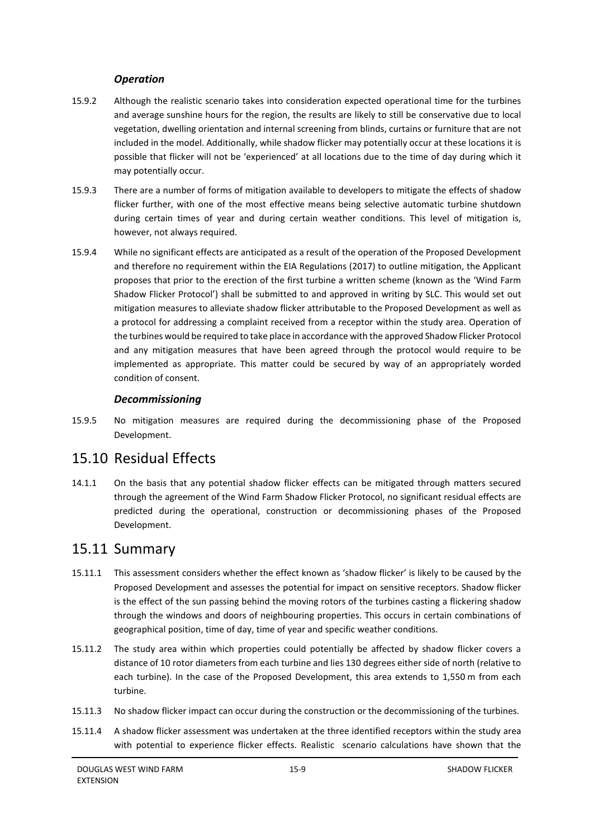### *Operation*

- 15.9.2 Although the realistic scenario takes into consideration expected operational time for the turbines and average sunshine hours for the region, the results are likely to still be conservative due to local vegetation, dwelling orientation and internal screening from blinds, curtains or furniture that are not included in the model. Additionally, while shadow flicker may potentially occur at these locations it is possible that flicker will not be 'experienced' at all locations due to the time of day during which it may potentially occur.
- 15.9.3 There are a number of forms of mitigation available to developers to mitigate the effects of shadow flicker further, with one of the most effective means being selective automatic turbine shutdown during certain times of year and during certain weather conditions. This level of mitigation is, however, not always required.
- 15.9.4 While no significant effects are anticipated as a result of the operation of the Proposed Development and therefore no requirement within the EIA Regulations (2017) to outline mitigation, the Applicant proposes that prior to the erection of the first turbine a written scheme (known as the 'Wind Farm Shadow Flicker Protocol') shall be submitted to and approved in writing by SLC. This would set out mitigation measures to alleviate shadow flicker attributable to the Proposed Development as well as a protocol for addressing a complaint received from a receptor within the study area. Operation of the turbines would be required to take place in accordance with the approved Shadow Flicker Protocol and any mitigation measures that have been agreed through the protocol would require to be implemented as appropriate. This matter could be secured by way of an appropriately worded condition of consent.

#### *Decommissioning*

15.9.5 No mitigation measures are required during the decommissioning phase of the Proposed Development.

### <span id="page-10-0"></span>15.10 Residual Effects

14.1.1 On the basis that any potential shadow flicker effects can be mitigated through matters secured through the agreement of the Wind Farm Shadow Flicker Protocol, no significant residual effects are predicted during the operational, construction or decommissioning phases of the Proposed Development.

### <span id="page-10-1"></span>15.11 Summary

- 15.11.1 This assessment considers whether the effect known as 'shadow flicker' is likely to be caused by the Proposed Development and assesses the potential for impact on sensitive receptors. Shadow flicker is the effect of the sun passing behind the moving rotors of the turbines casting a flickering shadow through the windows and doors of neighbouring properties. This occurs in certain combinations of geographical position, time of day, time of year and specific weather conditions.
- 15.11.2 The study area within which properties could potentially be affected by shadow flicker covers a distance of 10 rotor diameters from each turbine and lies 130 degrees either side of north (relative to each turbine). In the case of the Proposed Development, this area extends to 1,550 m from each turbine.
- 15.11.3 No shadow flicker impact can occur during the construction or the decommissioning of the turbines.
- 15.11.4 A shadow flicker assessment was undertaken at the three identified receptors within the study area with potential to experience flicker effects. Realistic scenario calculations have shown that the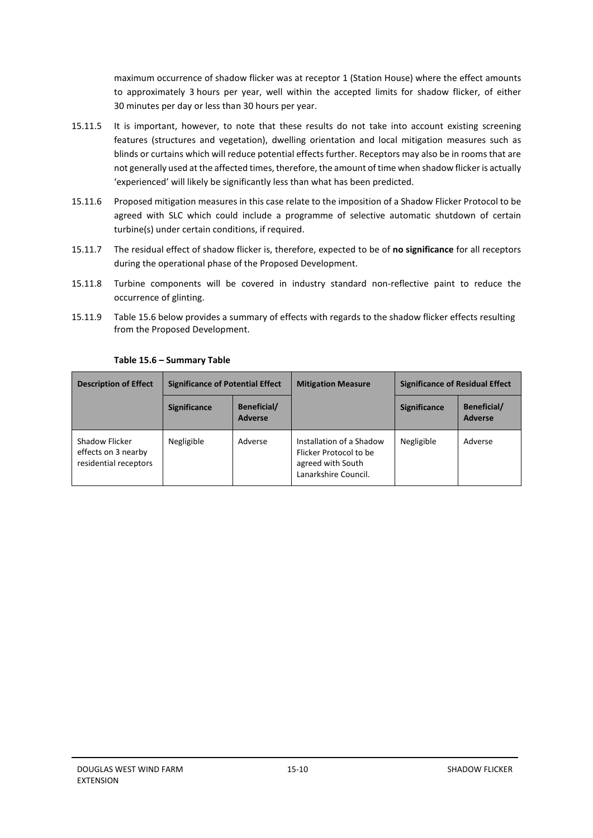maximum occurrence of shadow flicker was at receptor 1 (Station House) where the effect amounts to approximately 3 hours per year, well within the accepted limits for shadow flicker, of either 30 minutes per day or less than 30 hours per year.

- 15.11.5 It is important, however, to note that these results do not take into account existing screening features (structures and vegetation), dwelling orientation and local mitigation measures such as blinds or curtains which will reduce potential effects further. Receptors may also be in rooms that are not generally used at the affected times, therefore, the amount of time when shadow flicker is actually 'experienced' will likely be significantly less than what has been predicted.
- 15.11.6 Proposed mitigation measures in this case relate to the imposition of a Shadow Flicker Protocol to be agreed with SLC which could include a programme of selective automatic shutdown of certain turbine(s) under certain conditions, if required.
- 15.11.7 The residual effect of shadow flicker is, therefore, expected to be of **no significance** for all receptors during the operational phase of the Proposed Development.
- 15.11.8 Turbine components will be covered in industry standard non-reflective paint to reduce the occurrence of glinting.
- 15.11.9 Table 15.6 below provides a summary of effects with regards to the shadow flicker effects resulting from the Proposed Development.

| <b>Description of Effect</b>                                   | <b>Significance of Potential Effect</b> |                               | <b>Mitigation Measure</b>                                                                       | <b>Significance of Residual Effect</b> |                               |
|----------------------------------------------------------------|-----------------------------------------|-------------------------------|-------------------------------------------------------------------------------------------------|----------------------------------------|-------------------------------|
|                                                                | <b>Significance</b>                     | Beneficial/<br><b>Adverse</b> |                                                                                                 | <b>Significance</b>                    | Beneficial/<br><b>Adverse</b> |
| Shadow Flicker<br>effects on 3 nearby<br>residential receptors | Negligible                              | Adverse                       | Installation of a Shadow<br>Flicker Protocol to be<br>agreed with South<br>Lanarkshire Council. | Negligible                             | Adverse                       |

#### **Table 15.6 – Summary Table**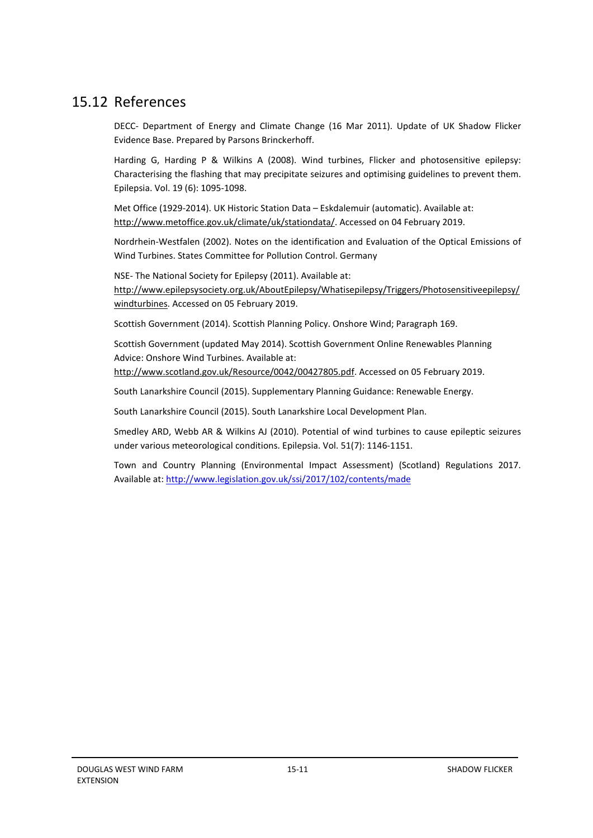## <span id="page-12-0"></span>15.12 References

DECC- Department of Energy and Climate Change (16 Mar 2011). Update of UK Shadow Flicker Evidence Base. Prepared by Parsons Brinckerhoff.

Harding G, Harding P & Wilkins A (2008). Wind turbines, Flicker and photosensitive epilepsy: Characterising the flashing that may precipitate seizures and optimising guidelines to prevent them. Epilepsia. Vol. 19 (6): 1095-1098.

Met Office (1929-2014). UK Historic Station Data – Eskdalemuir (automatic). Available at: [http://www.metoffice.gov.uk/climate/uk/stationdata/.](http://www.metoffice.gov.uk/climate/uk/stationdata/) Accessed on 04 February 2019.

Nordrhein-Westfalen (2002). Notes on the identification and Evaluation of the Optical Emissions of Wind Turbines. States Committee for Pollution Control. Germany

NSE- The National Society for Epilepsy (2011). Available at: [http://www.epilepsysociety.org.uk/AboutEpilepsy/Whatisepilepsy/Triggers/Photosensitiveepilepsy/](http://www.epilepsysociety.org.uk/AboutEpilepsy/Whatisepilepsy/Triggers/Photosensitiveepilepsy/windturbines) [windturbines.](http://www.epilepsysociety.org.uk/AboutEpilepsy/Whatisepilepsy/Triggers/Photosensitiveepilepsy/windturbines) Accessed on 05 February 2019.

Scottish Government (2014). Scottish Planning Policy. Onshore Wind; Paragraph 169.

Scottish Government (updated May 2014). Scottish Government Online Renewables Planning Advice: Onshore Wind Turbines. Available at: [http://www.scotland.gov.uk/Resource/0042/00427805.pdf.](http://www.scotland.gov.uk/Resource/0042/00427805.pdf) Accessed on 05 February 2019.

South Lanarkshire Council (2015). Supplementary Planning Guidance: Renewable Energy.

South Lanarkshire Council (2015). South Lanarkshire Local Development Plan.

Smedley ARD, Webb AR & Wilkins AJ (2010). Potential of wind turbines to cause epileptic seizures under various meteorological conditions. Epilepsia. Vol. 51(7): 1146-1151.

Town and Country Planning (Environmental Impact Assessment) (Scotland) Regulations 2017. Available at:<http://www.legislation.gov.uk/ssi/2017/102/contents/made>